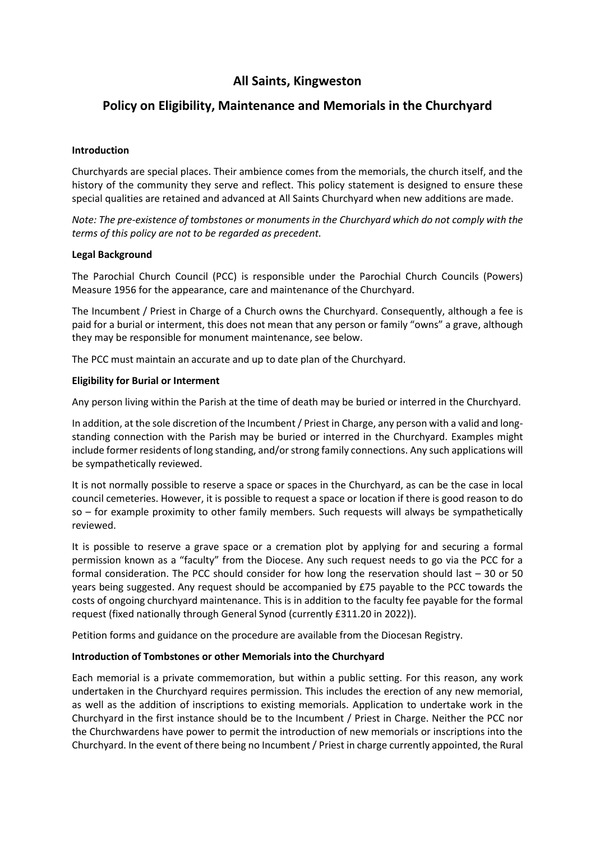# **All Saints, Kingweston**

## **Policy on Eligibility, Maintenance and Memorials in the Churchyard**

## **Introduction**

Churchyards are special places. Their ambience comes from the memorials, the church itself, and the history of the community they serve and reflect. This policy statement is designed to ensure these special qualities are retained and advanced at All Saints Churchyard when new additions are made.

*Note: The pre-existence of tombstones or monuments in the Churchyard which do not comply with the terms of this policy are not to be regarded as precedent.*

#### **Legal Background**

The Parochial Church Council (PCC) is responsible under the Parochial Church Councils (Powers) Measure 1956 for the appearance, care and maintenance of the Churchyard.

The Incumbent / Priest in Charge of a Church owns the Churchyard. Consequently, although a fee is paid for a burial or interment, this does not mean that any person or family "owns" a grave, although they may be responsible for monument maintenance, see below.

The PCC must maintain an accurate and up to date plan of the Churchyard.

## **Eligibility for Burial or Interment**

Any person living within the Parish at the time of death may be buried or interred in the Churchyard.

In addition, at the sole discretion of the Incumbent/ Priest in Charge, any person with a valid and longstanding connection with the Parish may be buried or interred in the Churchyard. Examples might include former residents of long standing, and/or strong family connections. Any such applications will be sympathetically reviewed.

It is not normally possible to reserve a space or spaces in the Churchyard, as can be the case in local council cemeteries. However, it is possible to request a space or location if there is good reason to do so – for example proximity to other family members. Such requests will always be sympathetically reviewed.

It is possible to reserve a grave space or a cremation plot by applying for and securing a formal permission known as a "faculty" from the Diocese. Any such request needs to go via the PCC for a formal consideration. The PCC should consider for how long the reservation should last – 30 or 50 years being suggested. Any request should be accompanied by £75 payable to the PCC towards the costs of ongoing churchyard maintenance. This is in addition to the faculty fee payable for the formal request (fixed nationally through General Synod (currently £311.20 in 2022)).

Petition forms and guidance on the procedure are available from the Diocesan Registry.

#### **Introduction of Tombstones or other Memorials into the Churchyard**

Each memorial is a private commemoration, but within a public setting. For this reason, any work undertaken in the Churchyard requires permission. This includes the erection of any new memorial, as well as the addition of inscriptions to existing memorials. Application to undertake work in the Churchyard in the first instance should be to the Incumbent / Priest in Charge. Neither the PCC nor the Churchwardens have power to permit the introduction of new memorials or inscriptions into the Churchyard. In the event of there being no Incumbent/ Priest in charge currently appointed, the Rural